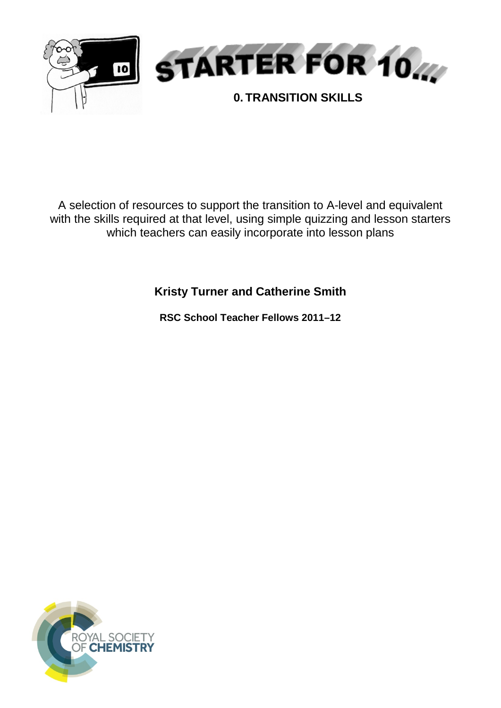

A selection of resources to support the transition to A-level and equivalent with the skills required at that level, using simple quizzing and lesson starters which teachers can easily incorporate into lesson plans

**Kristy Turner and Catherine Smith**

**RSC School Teacher Fellows 2011–12**

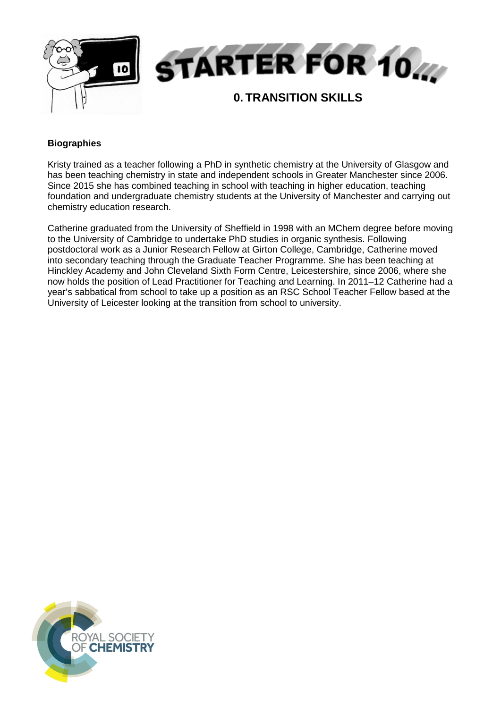

# **Biographies**

Kristy trained as a teacher following a PhD in synthetic chemistry at the University of Glasgow and has been teaching chemistry in state and independent schools in Greater Manchester since 2006. Since 2015 she has combined teaching in school with teaching in higher education, teaching foundation and undergraduate chemistry students at the University of Manchester and carrying out chemistry education research.

Catherine graduated from the University of Sheffield in 1998 with an MChem degree before moving to the University of Cambridge to undertake PhD studies in organic synthesis. Following postdoctoral work as a Junior Research Fellow at Girton College, Cambridge, Catherine moved into secondary teaching through the Graduate Teacher Programme. She has been teaching at Hinckley Academy and John Cleveland Sixth Form Centre, Leicestershire, since 2006, where she now holds the position of Lead Practitioner for Teaching and Learning. In 2011–12 Catherine had a year's sabbatical from school to take up a position as an RSC School Teacher Fellow based at the University of Leicester looking at the transition from school to university.